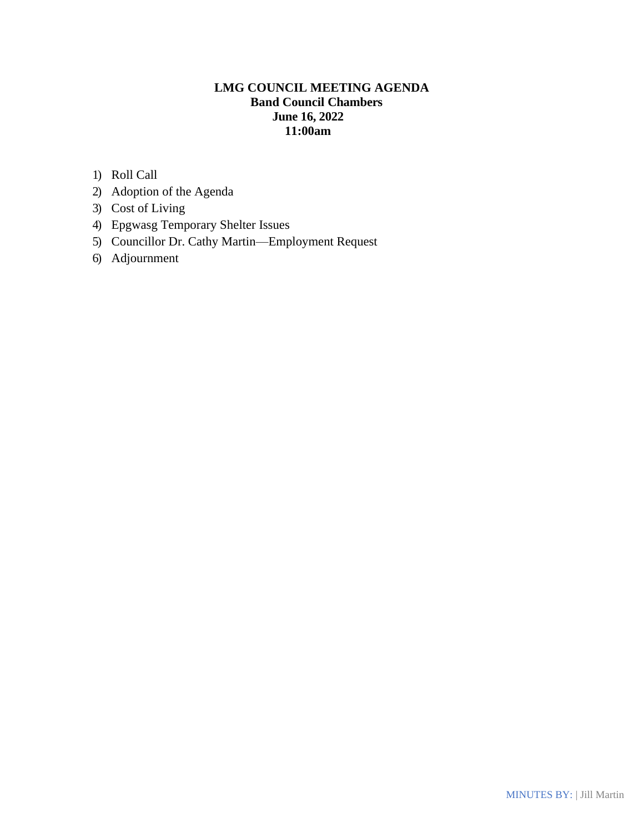# **LMG COUNCIL MEETING AGENDA Band Council Chambers June 16, 2022 11:00am**

- 1) Roll Call
- 2) Adoption of the Agenda
- 3) Cost of Living
- 4) Epgwasg Temporary Shelter Issues
- 5) Councillor Dr. Cathy Martin—Employment Request
- 6) Adjournment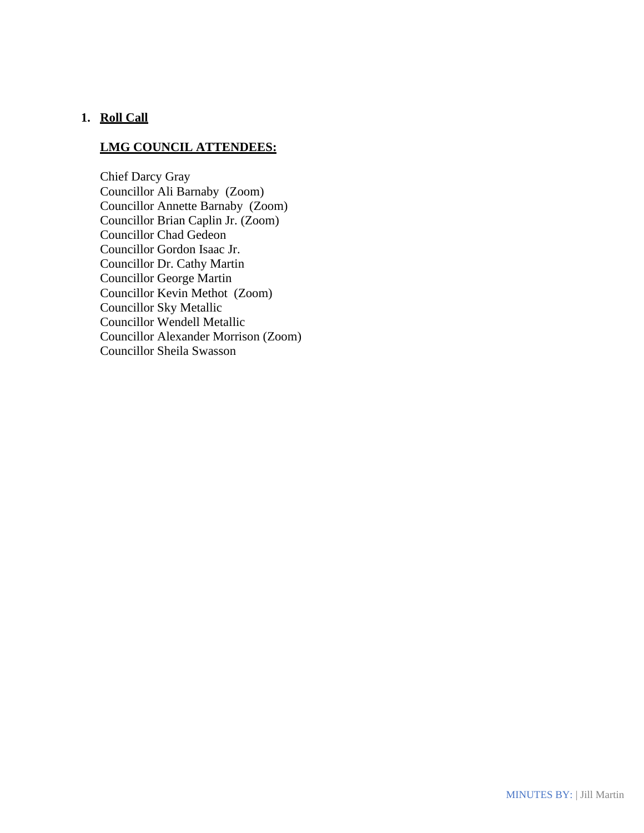### **1. Roll Call**

### **LMG COUNCIL ATTENDEES:**

Chief Darcy Gray Councillor Ali Barnaby (Zoom) Councillor Annette Barnaby (Zoom) Councillor Brian Caplin Jr. (Zoom) Councillor Chad Gedeon Councillor Gordon Isaac Jr. Councillor Dr. Cathy Martin Councillor George Martin Councillor Kevin Methot (Zoom) Councillor Sky Metallic Councillor Wendell Metallic Councillor Alexander Morrison (Zoom) Councillor Sheila Swasson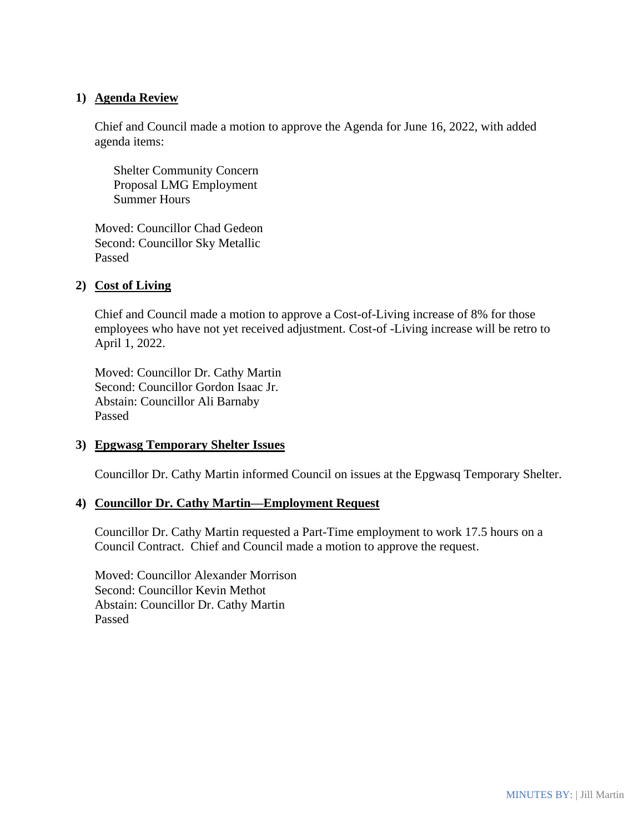### **1) Agenda Review**

Chief and Council made a motion to approve the Agenda for June 16, 2022, with added agenda items:

 Shelter Community Concern Proposal LMG Employment Summer Hours

Moved: Councillor Chad Gedeon Second: Councillor Sky Metallic Passed

### **2) Cost of Living**

Chief and Council made a motion to approve a Cost-of-Living increase of 8% for those employees who have not yet received adjustment. Cost-of -Living increase will be retro to April 1, 2022.

Moved: Councillor Dr. Cathy Martin Second: Councillor Gordon Isaac Jr. Abstain: Councillor Ali Barnaby Passed

#### **3) Epgwasg Temporary Shelter Issues**

Councillor Dr. Cathy Martin informed Council on issues at the Epgwasq Temporary Shelter.

#### **4) Councillor Dr. Cathy Martin—Employment Request**

Councillor Dr. Cathy Martin requested a Part-Time employment to work 17.5 hours on a Council Contract. Chief and Council made a motion to approve the request.

Moved: Councillor Alexander Morrison Second: Councillor Kevin Methot Abstain: Councillor Dr. Cathy Martin Passed